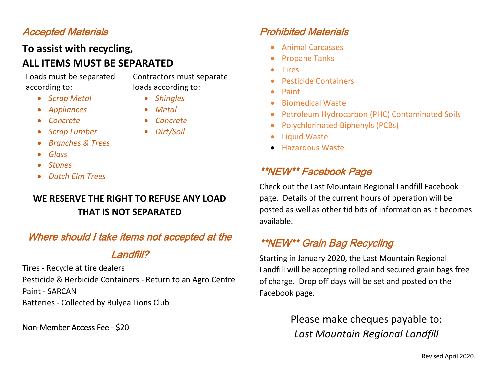## Accepted Materials

#### **To assist with recycling, ALL ITEMS MUST BE SEPARATED**

Loads must be separated according to:

Contractors must separate loads according to:

- *Scrap Metal*
	- *Appliances*
- *Concrete*

*Metal*

*Shingles*

- *Concrete*
- *Scrap Lumber*
- *Dirt/Soil*
- *Branches & Trees*
- *Glass*
- *Stones*
- *Dutch Elm Trees*

#### **WE RESERVE THE RIGHT TO REFUSE ANY LOAD THAT IS NOT SEPARATED**

#### Where should I take items not accepted at the

#### Landfill?

Tires - Recycle at tire dealers Pesticide & Herbicide Containers - Return to an Agro Centre Paint - SARCAN Batteries - Collected by Bulyea Lions Club

Non-Member Access Fee - \$20

## Prohibited Materials

- Animal Carcasses
- Propane Tanks
- Tires
- Pesticide Containers
- Paint
- Biomedical Waste
- Petroleum Hydrocarbon (PHC) Contaminated Soils
- Polychlorinated Biphenyls (PCBs)
- Liquid Waste
- Hazardous Waste

#### \*\*NEW\*\* Facebook Page

Check out the Last Mountain Regional Landfill Facebook page. Details of the current hours of operation will be posted as well as other tid bits of information as it becomes available.

#### \*\*NEW\*\* Grain Bag Recycling

Starting in January 2020, the Last Mountain Regional Landfill will be accepting rolled and secured grain bags free of charge. Drop off days will be set and posted on the Facebook page.

> Please make cheques payable to: *Last Mountain Regional Landfill*